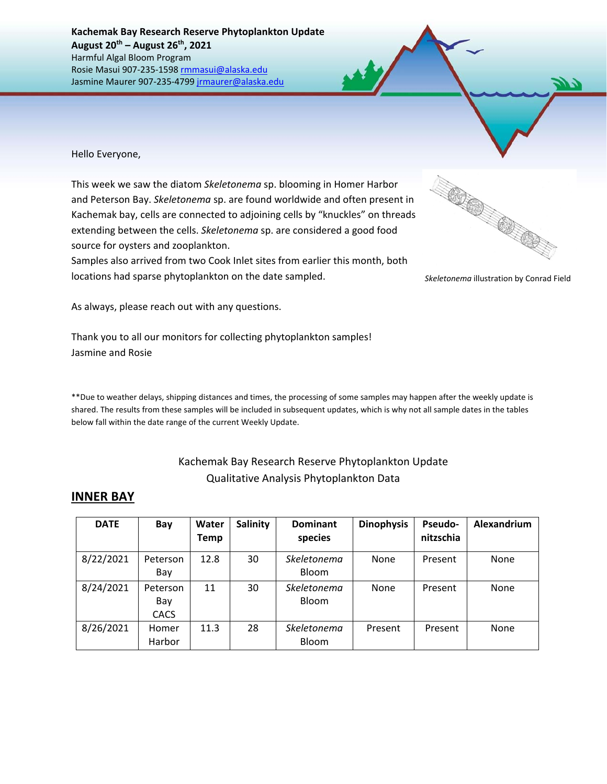Hello Everyone,

This week we saw the diatom *Skeletonema* sp. blooming in Homer Harbor and Peterson Bay. *Skeletonema* sp. are found worldwide and often present in Kachemak bay, cells are connected to adjoining cells by "knuckles" on threads extending between the cells. *Skeletonema* sp. are considered a good food source for oysters and zooplankton.

Samples also arrived from two Cook Inlet sites from earlier this month, both locations had sparse phytoplankton on the date sampled.



*Skeletonema* illustration by Conrad Field

As always, please reach out with any questions.

Thank you to all our monitors for collecting phytoplankton samples! Jasmine and Rosie

\*\*Due to weather delays, shipping distances and times, the processing of some samples may happen after the weekly update is shared. The results from these samples will be included in subsequent updates, which is why not all sample dates in the tables below fall within the date range of the current Weekly Update.

## Kachemak Bay Research Reserve Phytoplankton Update Qualitative Analysis Phytoplankton Data

## **INNER BAY**

| <b>DATE</b> | Bay                            | Water<br>Temp | <b>Salinity</b> | <b>Dominant</b><br>species  | <b>Dinophysis</b> | <b>Pseudo-</b><br>nitzschia | Alexandrium |
|-------------|--------------------------------|---------------|-----------------|-----------------------------|-------------------|-----------------------------|-------------|
| 8/22/2021   | Peterson<br>Bay                | 12.8          | 30              | Skeletonema<br><b>Bloom</b> | <b>None</b>       | Present                     | None        |
| 8/24/2021   | Peterson<br>Bay<br><b>CACS</b> | 11            | 30              | Skeletonema<br>Bloom        | None              | Present                     | None        |
| 8/26/2021   | Homer<br>Harbor                | 11.3          | 28              | Skeletonema<br><b>Bloom</b> | Present           | Present                     | None        |